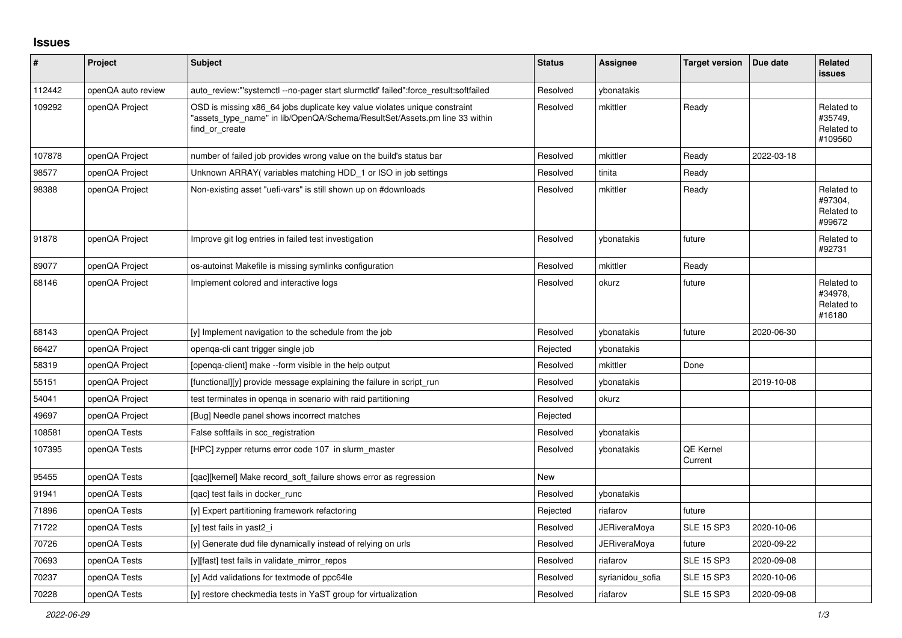## **Issues**

| ∦      | Project            | Subject                                                                                                                                                                   | <b>Status</b> | Assignee            | <b>Target version</b>       | Due date   | Related<br><b>issues</b>                       |
|--------|--------------------|---------------------------------------------------------------------------------------------------------------------------------------------------------------------------|---------------|---------------------|-----------------------------|------------|------------------------------------------------|
| 112442 | openQA auto review | auto review:"'systemctl--no-pager start slurmctld' failed":force result:softfailed                                                                                        | Resolved      | vbonatakis          |                             |            |                                                |
| 109292 | openQA Project     | OSD is missing x86_64 jobs duplicate key value violates unique constraint<br>"assets type name" in lib/OpenQA/Schema/ResultSet/Assets.pm line 33 within<br>find or create | Resolved      | mkittler            | Ready                       |            | Related to<br>#35749.<br>Related to<br>#109560 |
| 107878 | openQA Project     | number of failed job provides wrong value on the build's status bar                                                                                                       | Resolved      | mkittler            | Ready                       | 2022-03-18 |                                                |
| 98577  | openQA Project     | Unknown ARRAY (variables matching HDD_1 or ISO in job settings                                                                                                            | Resolved      | tinita              | Ready                       |            |                                                |
| 98388  | openQA Project     | Non-existing asset "uefi-vars" is still shown up on #downloads                                                                                                            | Resolved      | mkittler            | Ready                       |            | Related to<br>#97304,<br>Related to<br>#99672  |
| 91878  | openQA Project     | Improve git log entries in failed test investigation                                                                                                                      | Resolved      | ybonatakis          | future                      |            | Related to<br>#92731                           |
| 89077  | openQA Project     | os-autoinst Makefile is missing symlinks configuration                                                                                                                    | Resolved      | mkittler            | Ready                       |            |                                                |
| 68146  | openQA Project     | Implement colored and interactive logs                                                                                                                                    | Resolved      | okurz               | future                      |            | Related to<br>#34978,<br>Related to<br>#16180  |
| 68143  | openQA Project     | [y] Implement navigation to the schedule from the job                                                                                                                     | Resolved      | vbonatakis          | future                      | 2020-06-30 |                                                |
| 66427  | openQA Project     | openga-cli cant trigger single job                                                                                                                                        | Rejected      | vbonatakis          |                             |            |                                                |
| 58319  | openQA Project     | [openga-client] make --form visible in the help output                                                                                                                    | Resolved      | mkittler            | Done                        |            |                                                |
| 55151  | openQA Project     | [functional][y] provide message explaining the failure in script run                                                                                                      | Resolved      | vbonatakis          |                             | 2019-10-08 |                                                |
| 54041  | openQA Project     | test terminates in openga in scenario with raid partitioning                                                                                                              | Resolved      | okurz               |                             |            |                                                |
| 49697  | openQA Project     | [Bug] Needle panel shows incorrect matches                                                                                                                                | Rejected      |                     |                             |            |                                                |
| 108581 | openQA Tests       | False softfails in scc_registration                                                                                                                                       | Resolved      | ybonatakis          |                             |            |                                                |
| 107395 | openQA Tests       | [HPC] zypper returns error code 107 in slurm master                                                                                                                       | Resolved      | vbonatakis          | <b>QE Kernel</b><br>Current |            |                                                |
| 95455  | openQA Tests       | [gac][kernel] Make record soft failure shows error as regression                                                                                                          | New           |                     |                             |            |                                                |
| 91941  | openQA Tests       | [gac] test fails in docker runc                                                                                                                                           | Resolved      | vbonatakis          |                             |            |                                                |
| 71896  | openQA Tests       | [y] Expert partitioning framework refactoring                                                                                                                             | Rejected      | riafarov            | future                      |            |                                                |
| 71722  | openQA Tests       | [y] test fails in yast2 i                                                                                                                                                 | Resolved      | JERiveraMoya        | <b>SLE 15 SP3</b>           | 2020-10-06 |                                                |
| 70726  | openQA Tests       | [y] Generate dud file dynamically instead of relying on urls                                                                                                              | Resolved      | <b>JERiveraMoya</b> | future                      | 2020-09-22 |                                                |
| 70693  | openQA Tests       | [y][fast] test fails in validate_mirror_repos                                                                                                                             | Resolved      | riafarov            | <b>SLE 15 SP3</b>           | 2020-09-08 |                                                |
| 70237  | openQA Tests       | [y] Add validations for textmode of ppc64le                                                                                                                               | Resolved      | syrianidou sofia    | <b>SLE 15 SP3</b>           | 2020-10-06 |                                                |
| 70228  | openQA Tests       | [y] restore checkmedia tests in YaST group for virtualization                                                                                                             | Resolved      | riafarov            | <b>SLE 15 SP3</b>           | 2020-09-08 |                                                |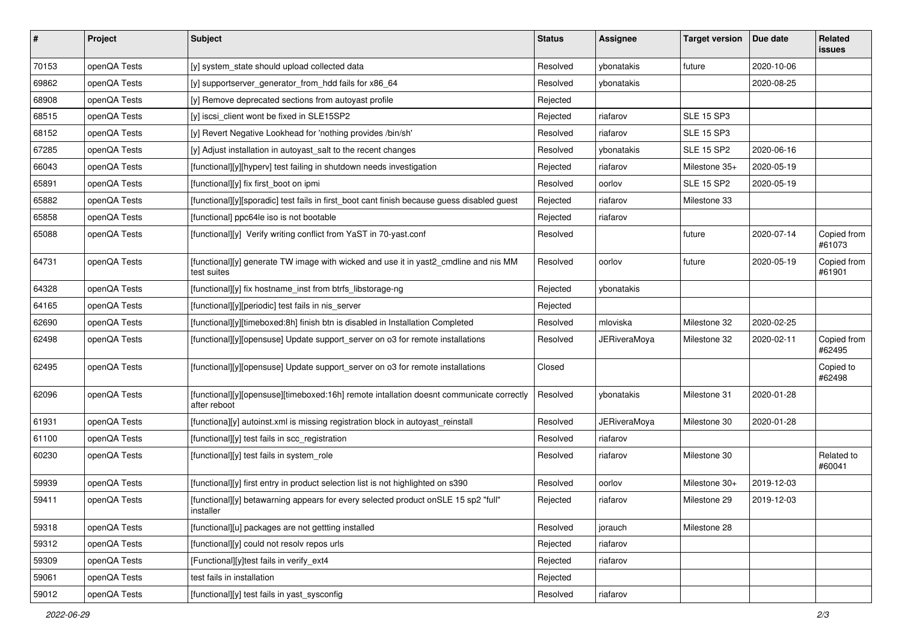| $\sharp$ | Project      | Subject                                                                                                  | <b>Status</b> | <b>Assignee</b>     | <b>Target version</b> | Due date   | Related<br>issues     |
|----------|--------------|----------------------------------------------------------------------------------------------------------|---------------|---------------------|-----------------------|------------|-----------------------|
| 70153    | openQA Tests | [y] system_state should upload collected data                                                            | Resolved      | ybonatakis          | future                | 2020-10-06 |                       |
| 69862    | openQA Tests | [y] supportserver_generator_from_hdd fails for x86_64                                                    | Resolved      | ybonatakis          |                       | 2020-08-25 |                       |
| 68908    | openQA Tests | [y] Remove deprecated sections from autoyast profile                                                     | Rejected      |                     |                       |            |                       |
| 68515    | openQA Tests | [y] iscsi_client wont be fixed in SLE15SP2                                                               | Rejected      | riafarov            | <b>SLE 15 SP3</b>     |            |                       |
| 68152    | openQA Tests | [y] Revert Negative Lookhead for 'nothing provides /bin/sh'                                              | Resolved      | riafarov            | <b>SLE 15 SP3</b>     |            |                       |
| 67285    | openQA Tests | [y] Adjust installation in autoyast_salt to the recent changes                                           | Resolved      | ybonatakis          | <b>SLE 15 SP2</b>     | 2020-06-16 |                       |
| 66043    | openQA Tests | [functional][y][hyperv] test failing in shutdown needs investigation                                     | Rejected      | riafarov            | Milestone 35+         | 2020-05-19 |                       |
| 65891    | openQA Tests | [functional][y] fix first_boot on ipmi                                                                   | Resolved      | oorlov              | <b>SLE 15 SP2</b>     | 2020-05-19 |                       |
| 65882    | openQA Tests | [functional][y][sporadic] test fails in first_boot cant finish because guess disabled guest              | Rejected      | riafarov            | Milestone 33          |            |                       |
| 65858    | openQA Tests | [functional] ppc64le iso is not bootable                                                                 | Rejected      | riafarov            |                       |            |                       |
| 65088    | openQA Tests | [functional][y] Verify writing conflict from YaST in 70-yast.conf                                        | Resolved      |                     | future                | 2020-07-14 | Copied from<br>#61073 |
| 64731    | openQA Tests | [functional][y] generate TW image with wicked and use it in yast2_cmdline and nis MM<br>test suites      | Resolved      | oorlov              | future                | 2020-05-19 | Copied from<br>#61901 |
| 64328    | openQA Tests | [functional][y] fix hostname_inst from btrfs_libstorage-ng                                               | Rejected      | ybonatakis          |                       |            |                       |
| 64165    | openQA Tests | [functional][y][periodic] test fails in nis_server                                                       | Rejected      |                     |                       |            |                       |
| 62690    | openQA Tests | [functional][y][timeboxed:8h] finish btn is disabled in Installation Completed                           | Resolved      | mloviska            | Milestone 32          | 2020-02-25 |                       |
| 62498    | openQA Tests | [functional][y][opensuse] Update support_server on o3 for remote installations                           | Resolved      | <b>JERiveraMoya</b> | Milestone 32          | 2020-02-11 | Copied from<br>#62495 |
| 62495    | openQA Tests | [functional][y][opensuse] Update support_server on o3 for remote installations                           | Closed        |                     |                       |            | Copied to<br>#62498   |
| 62096    | openQA Tests | [functional][y][opensuse][timeboxed:16h] remote intallation doesnt communicate correctly<br>after reboot | Resolved      | ybonatakis          | Milestone 31          | 2020-01-28 |                       |
| 61931    | openQA Tests | [functiona][y] autoinst.xml is missing registration block in autoyast_reinstall                          | Resolved      | <b>JERiveraMoya</b> | Milestone 30          | 2020-01-28 |                       |
| 61100    | openQA Tests | [functional][y] test fails in scc_registration                                                           | Resolved      | riafarov            |                       |            |                       |
| 60230    | openQA Tests | [functional][y] test fails in system_role                                                                | Resolved      | riafarov            | Milestone 30          |            | Related to<br>#60041  |
| 59939    | openQA Tests | [functional][y] first entry in product selection list is not highlighted on s390                         | Resolved      | oorlov              | Milestone 30+         | 2019-12-03 |                       |
| 59411    | openQA Tests | [functional][y] betawarning appears for every selected product onSLE 15 sp2 "full"<br>installer          | Rejected      | riafarov            | Milestone 29          | 2019-12-03 |                       |
| 59318    | openQA Tests | [functional][u] packages are not gettting installed                                                      | Resolved      | jorauch             | Milestone 28          |            |                       |
| 59312    | openQA Tests | [functional][y] could not resolv repos urls                                                              | Rejected      | riafarov            |                       |            |                       |
| 59309    | openQA Tests | [Functional][y]test fails in verify_ext4                                                                 | Rejected      | riafarov            |                       |            |                       |
| 59061    | openQA Tests | test fails in installation                                                                               | Rejected      |                     |                       |            |                       |
| 59012    | openQA Tests | [functional][y] test fails in yast_sysconfig                                                             | Resolved      | riafarov            |                       |            |                       |